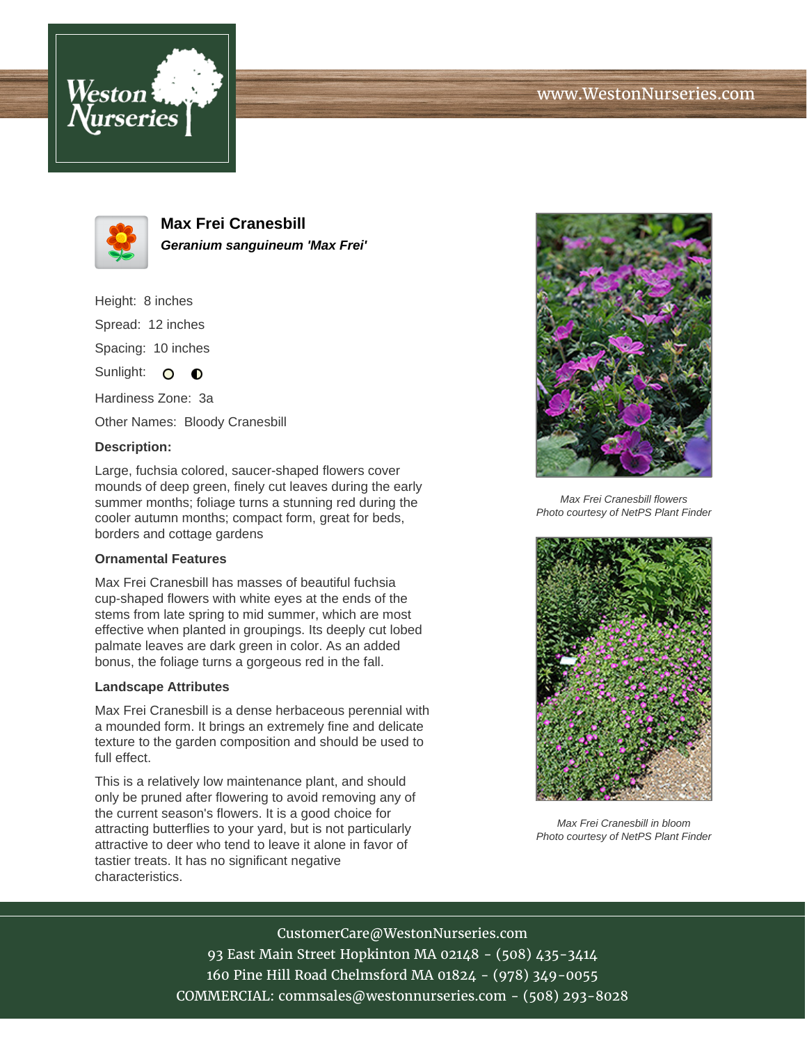



**Max Frei Cranesbill Geranium sanguineum 'Max Frei'**

Height: 8 inches Spread: 12 inches Spacing: 10 inches

Sunlight:  $\bullet$   $\bullet$ 

Hardiness Zone: 3a

Other Names: Bloody Cranesbill

## **Description:**

Large, fuchsia colored, saucer-shaped flowers cover mounds of deep green, finely cut leaves during the early summer months; foliage turns a stunning red during the cooler autumn months; compact form, great for beds, borders and cottage gardens

## **Ornamental Features**

Max Frei Cranesbill has masses of beautiful fuchsia cup-shaped flowers with white eyes at the ends of the stems from late spring to mid summer, which are most effective when planted in groupings. Its deeply cut lobed palmate leaves are dark green in color. As an added bonus, the foliage turns a gorgeous red in the fall.

## **Landscape Attributes**

Max Frei Cranesbill is a dense herbaceous perennial with a mounded form. It brings an extremely fine and delicate texture to the garden composition and should be used to full effect.

This is a relatively low maintenance plant, and should only be pruned after flowering to avoid removing any of the current season's flowers. It is a good choice for attracting butterflies to your yard, but is not particularly attractive to deer who tend to leave it alone in favor of tastier treats. It has no significant negative characteristics.



Max Frei Cranesbill flowers Photo courtesy of NetPS Plant Finder



Max Frei Cranesbill in bloom Photo courtesy of NetPS Plant Finder

CustomerCare@WestonNurseries.com 93 East Main Street Hopkinton MA 02148 - (508) 435-3414 160 Pine Hill Road Chelmsford MA 01824 - (978) 349-0055 COMMERCIAL: commsales@westonnurseries.com - (508) 293-8028